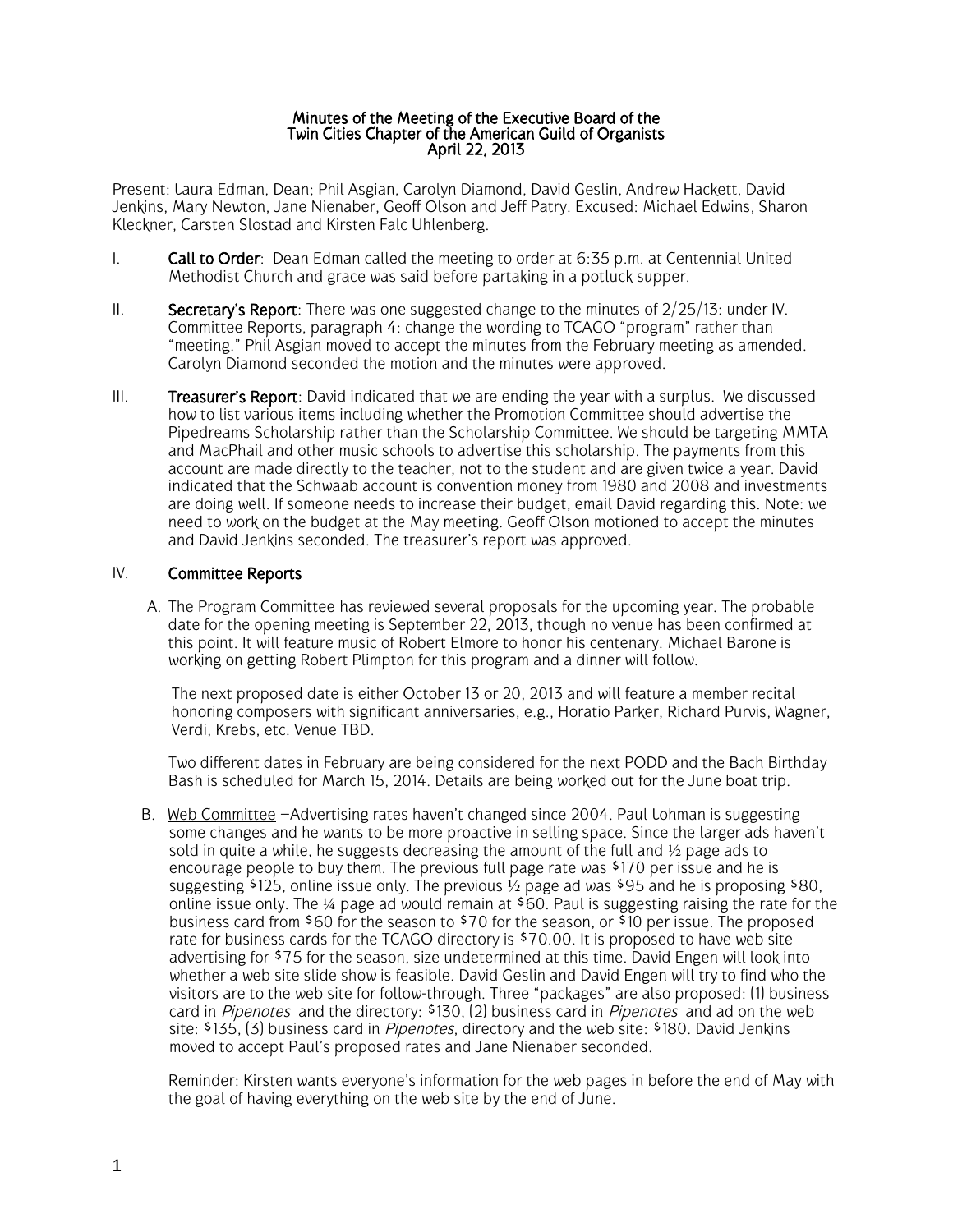## Minutes of the Meeting of the Executive Board of the Twin Cities Chapter of the American Guild of Organists April 22, 2013

Present: Laura Edman, Dean; Phil Asgian, Carolyn Diamond, David Geslin, Andrew Hackett, David Jenkins, Mary Newton, Jane Nienaber, Geoff Olson and Jeff Patry. Excused: Michael Edwins, Sharon Kleckner, Carsten Slostad and Kirsten Falc Uhlenberg.

- I. **Call to Order**: Dean Edman called the meeting to order at  $6:35$  p.m. at Centennial United Methodist Church and grace was said before partaking in a potluck supper.
- II. Secretary's Report: There was one suggested change to the minutes of  $2/25/13$ : under IV. Committee Reports, paragraph 4: change the wording to TCAGO "program" rather than "meeting." Phil Asgian moved to accept the minutes from the February meeting as amended. Carolyn Diamond seconded the motion and the minutes were approved.
- III. **Treasurer's Report**: David indicated that we are ending the year with a surplus. We discussed how to list various items including whether the Promotion Committee should advertise the Pipedreams Scholarship rather than the Scholarship Committee. We should be targeting MMTA and MacPhail and other music schools to advertise this scholarship. The payments from this account are made directly to the teacher, not to the student and are given twice a year. David indicated that the Schwaab account is convention money from 1980 and 2008 and investments are doing well. If someone needs to increase their budget, email David regarding this. Note: we need to work on the budget at the May meeting. Geoff Olson motioned to accept the minutes and David Jenkins seconded. The treasurer's report was approved.

## IV. Committee Reports

A. The Program Committee has reviewed several proposals for the upcoming year. The probable date for the opening meeting is September 22, 2013, though no venue has been confirmed at this point. It will feature music of Robert Elmore to honor his centenary. Michael Barone is working on getting Robert Plimpton for this program and a dinner will follow.

The next proposed date is either October 13 or 20, 2013 and will feature a member recital honoring composers with significant anniversaries, e.g., Horatio Parker, Richard Purvis, Wagner, Verdi, Krebs, etc. Venue TBD.

Two different dates in February are being considered for the next PODD and the Bach Birthday Bash is scheduled for March 15, 2014. Details are being worked out for the June boat trip.

B. Web Committee –Advertising rates haven't changed since 2004. Paul Lohman is suggesting some changes and he wants to be more proactive in selling space. Since the larger ads haven't sold in quite a while, he suggests decreasing the amount of the full and  $\frac{1}{2}$  page ads to encourage people to buy them. The previous full page rate was \$170 per issue and he is suggesting  $$125$ , online issue only. The previous  $\frac{1}{2}$  page ad was  $$95$  and he is proposing  $$80$ . online issue only. The  $\frac{1}{4}$  page ad would remain at  $\frac{1}{60}$ . Paul is suggesting raising the rate for the business card from \$60 for the season to \$70 for the season, or \$10 per issue. The proposed rate for business cards for the TCAGO directory is \$70.00. It is proposed to have web site advertising for \$75 for the season, size undetermined at this time. David Engen will look into whether a web site slide show is feasible. David Geslin and David Engen will try to find who the visitors are to the web site for follow-through. Three "packages" are also proposed: (1) business card in *Pipenotes* and the directory: \$130, (2) business card in *Pipenotes* and ad on the web site: \$135, (3) business card in *Pipenotes*, directory and the web site: \$180. David Jenkins moved to accept Paul's proposed rates and Jane Nienaber seconded.

Reminder: Kirsten wants everyone's information for the web pages in before the end of May with the goal of having everything on the web site by the end of June.